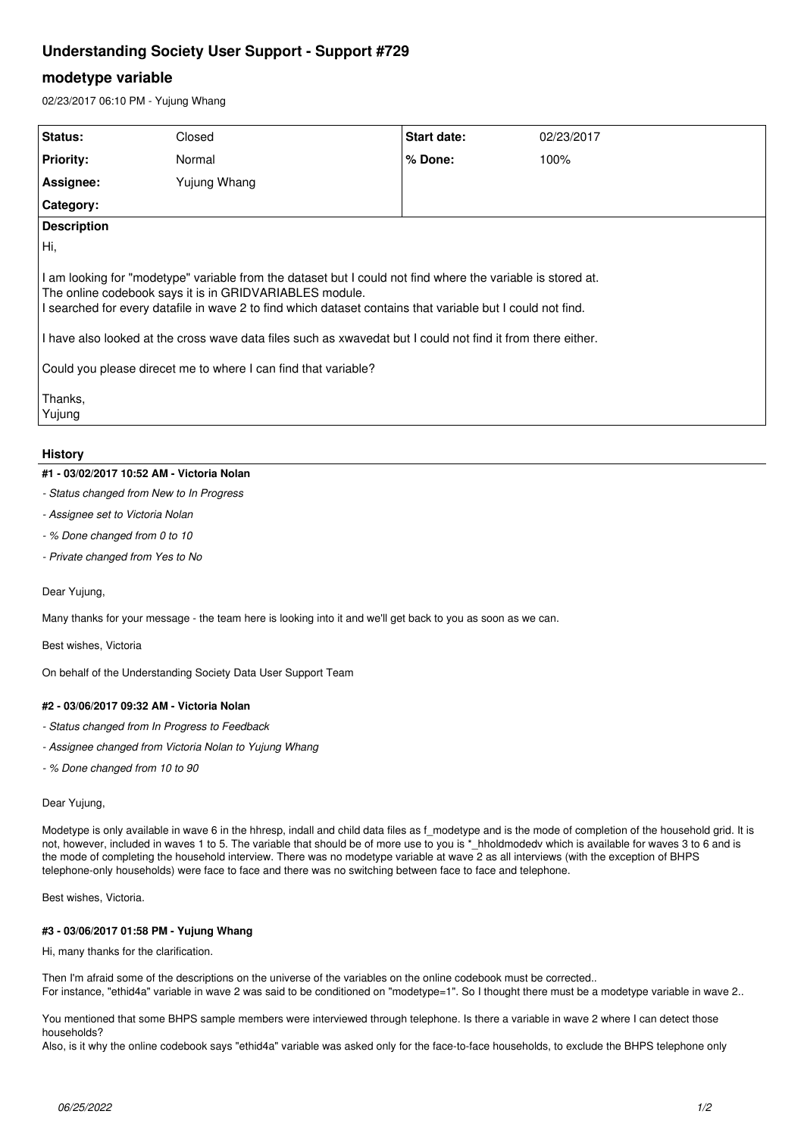# **Understanding Society User Support - Support #729**

## **modetype variable**

02/23/2017 06:10 PM - Yujung Whang

| <b>Status:</b>                                                                                                                                                                                                                                                                                                                                                                                                                                                                             | Closed       | Start date: | 02/23/2017 |
|--------------------------------------------------------------------------------------------------------------------------------------------------------------------------------------------------------------------------------------------------------------------------------------------------------------------------------------------------------------------------------------------------------------------------------------------------------------------------------------------|--------------|-------------|------------|
| <b>Priority:</b>                                                                                                                                                                                                                                                                                                                                                                                                                                                                           | Normal       | % Done:     | 100%       |
| Assignee:                                                                                                                                                                                                                                                                                                                                                                                                                                                                                  | Yujung Whang |             |            |
| <b>Category:</b>                                                                                                                                                                                                                                                                                                                                                                                                                                                                           |              |             |            |
| <b>Description</b>                                                                                                                                                                                                                                                                                                                                                                                                                                                                         |              |             |            |
| Hi,                                                                                                                                                                                                                                                                                                                                                                                                                                                                                        |              |             |            |
| I am looking for "modetype" variable from the dataset but I could not find where the variable is stored at.<br>The online codebook says it is in GRIDVARIABLES module.<br>I searched for every datafile in wave 2 to find which dataset contains that variable but I could not find.<br>I have also looked at the cross wave data files such as xwavedat but I could not find it from there either.<br>Could you please direcet me to where I can find that variable?<br>Thanks,<br>Yujung |              |             |            |

## **History**

#### **#1 - 03/02/2017 10:52 AM - Victoria Nolan**

- *Status changed from New to In Progress*
- *Assignee set to Victoria Nolan*
- *% Done changed from 0 to 10*
- *Private changed from Yes to No*

#### Dear Yujung,

Many thanks for your message - the team here is looking into it and we'll get back to you as soon as we can.

Best wishes, Victoria

On behalf of the Understanding Society Data User Support Team

#### **#2 - 03/06/2017 09:32 AM - Victoria Nolan**

- *Status changed from In Progress to Feedback*
- *Assignee changed from Victoria Nolan to Yujung Whang*
- *% Done changed from 10 to 90*

#### Dear Yujung,

Modetype is only available in wave 6 in the hhresp, indall and child data files as f\_modetype and is the mode of completion of the household grid. It is not, however, included in waves 1 to 5. The variable that should be of more use to you is \*\_hholdmodedv which is available for waves 3 to 6 and is the mode of completing the household interview. There was no modetype variable at wave 2 as all interviews (with the exception of BHPS telephone-only households) were face to face and there was no switching between face to face and telephone.

Best wishes, Victoria.

#### **#3 - 03/06/2017 01:58 PM - Yujung Whang**

Hi, many thanks for the clarification.

Then I'm afraid some of the descriptions on the universe of the variables on the online codebook must be corrected.. For instance, "ethid4a" variable in wave 2 was said to be conditioned on "modetype=1". So I thought there must be a modetype variable in wave 2..

You mentioned that some BHPS sample members were interviewed through telephone. Is there a variable in wave 2 where I can detect those households?

Also, is it why the online codebook says "ethid4a" variable was asked only for the face-to-face households, to exclude the BHPS telephone only